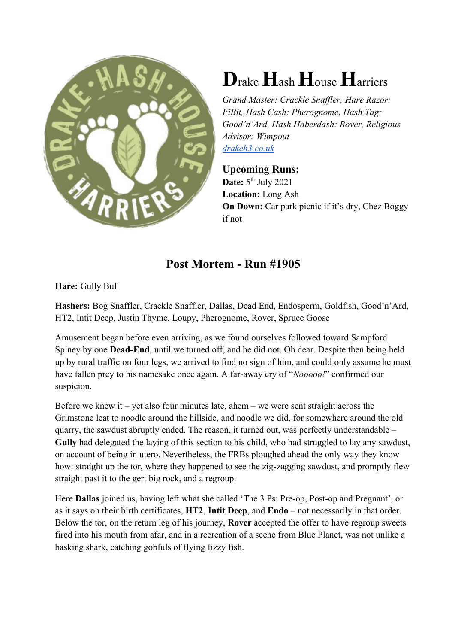

## **D**rake **H**ash **H**ouse **H**arriers

*Grand Master: Crackle Snaffler, Hare Razor: FiBit, Hash Cash: Pherognome, Hash Tag: Good'n'Ard, Hash Haberdash: Rover, Religious Advisor: Wimpout drakeh3.co.uk*

## **Upcoming Runs:**

Date: 5<sup>th</sup> July 2021 **Location:** Long Ash **On Down:** Car park picnic if it's dry, Chez Boggy if not

## **Post Mortem - Run #1905**

**Hare:** Gully Bull

**Hashers:** Bog Snaffler, Crackle Snaffler, Dallas, Dead End, Endosperm, Goldfish, Good'n'Ard, HT2, Intit Deep, Justin Thyme, Loupy, Pherognome, Rover, Spruce Goose

Amusement began before even arriving, as we found ourselves followed toward Sampford Spiney by one **Dead-End**, until we turned off, and he did not. Oh dear. Despite then being held up by rural traffic on four legs, we arrived to find no sign of him, and could only assume he must have fallen prey to his namesake once again. A far-away cry of "*Nooooo!*" confirmed our suspicion.

Before we knew it – yet also four minutes late, ahem – we were sent straight across the Grimstone leat to noodle around the hillside, and noodle we did, for somewhere around the old quarry, the sawdust abruptly ended. The reason, it turned out, was perfectly understandable – **Gully** had delegated the laying of this section to his child, who had struggled to lay any sawdust, on account of being in utero. Nevertheless, the FRBs ploughed ahead the only way they know how: straight up the tor, where they happened to see the zig-zagging sawdust, and promptly flew straight past it to the gert big rock, and a regroup.

Here **Dallas** joined us, having left what she called 'The 3 Ps: Pre-op, Post-op and Pregnant', or as it says on their birth certificates, **HT2**, **Intit Deep**, and **Endo** – not necessarily in that order. Below the tor, on the return leg of his journey, **Rover** accepted the offer to have regroup sweets fired into his mouth from afar, and in a recreation of a scene from Blue Planet, was not unlike a basking shark, catching gobfuls of flying fizzy fish.